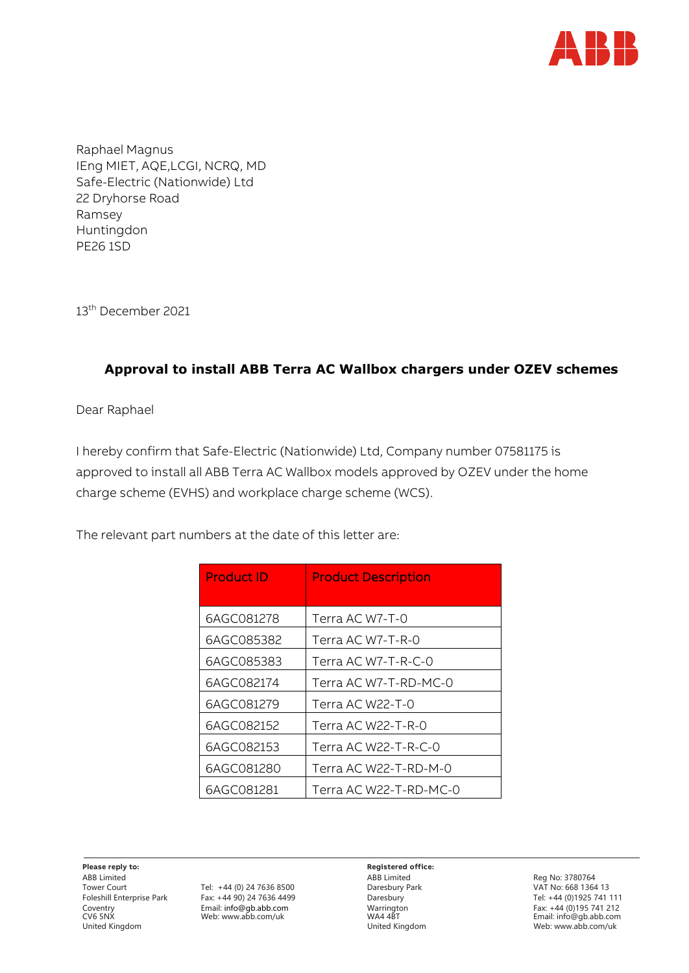

Raphael Magnus IEng MIET, AQE,LCGI, NCRQ, MD Safe-Electric (Nationwide) Ltd 22 Dryhorse Road Ramsey Huntingdon PE26 1SD

13<sup>th</sup> December 2021

## **Approval to install ABB Terra AC Wallbox chargers under OZEV schemes**

Dear Raphael

I hereby confirm that Safe-Electric (Nationwide) Ltd, Company number 07581175 is approved to install all ABB Terra AC Wallbox models approved by OZEV under the home charge scheme (EVHS) and workplace charge scheme (WCS).

The relevant part numbers at the date of this letter are:

| <b>Product ID</b> | <b>Product Description</b> |
|-------------------|----------------------------|
| 6AGC081278        | Terra AC W7-T-0            |
| 6AGC085382        | Terra AC W7-T-R-0          |
| 6AGC085383        | Terra AC W7-T-R-C-0        |
| 6AGC082174        | Terra AC W7-T-RD-MC-0      |
| 6AGC081279        | Terra AC W22-T-0           |
| 6AGC082152        | Terra AC W22-T-R-0         |
| 6AGC082153        | Terra AC W22-T-R-C-0       |
| 6AGC081280        | Terra AC W22-T-RD-M-0      |
| 6AGC081281        | Terra AC W22-T-RD-MC-0     |

**Please reply to: Registered office:** ABB Limited Reg No: 3780764

Tower Court Tel: +44 (0) 24 7636 8500 Daresbury Park VAT No: 668 1364 13 Foleshill Enterprise Park Fax: +44 90) 24 7636 4499 Daresbury Daresbury Tel: +44 (0)1925 741 111<br>Coventry Email: info@gb.abb.com Warrington Warrington Fax: +44 (0)195 741 212<br>CV6 5NX Web: www.abb.com/uk WA4 4BT WA4 4BT Ema Email: info@gb.abb.com Warrington Warrington Fax: +45<br>Web: www.abb.com/uk

CV6 5NX Web: www.abb.com/uk WA4 4BT Ema[il: i](mailto:info@gb.abb.com)[nfo@gb.abb.com](mailto:nfo@gb.abb.com) Web[: www.abb.com/uk](http://www.abb.com/uk)